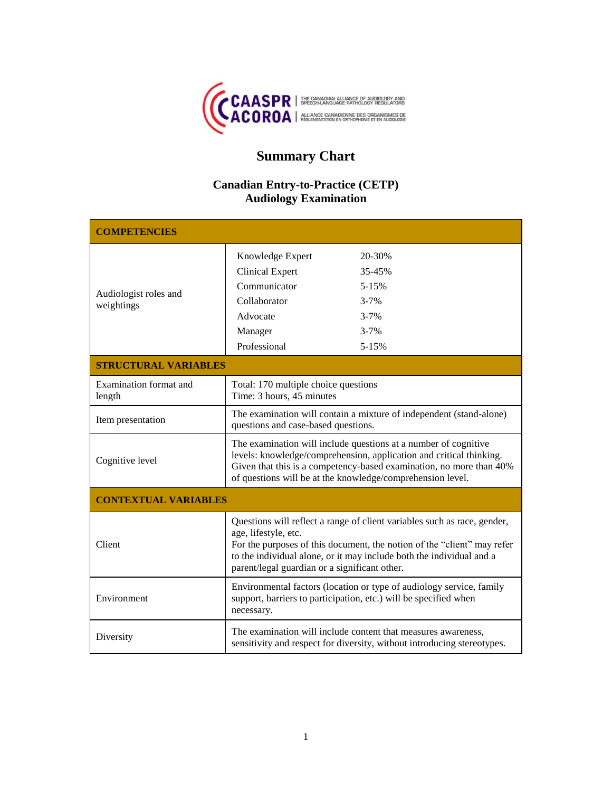

# **Summary Chart**

## **Canadian Entry-to-Practice (CETP) Audiology Examination**

| <b>COMPETENCIES</b>                 |                                                                                                                                                                                                                                                                                                      |                                               |
|-------------------------------------|------------------------------------------------------------------------------------------------------------------------------------------------------------------------------------------------------------------------------------------------------------------------------------------------------|-----------------------------------------------|
| Audiologist roles and<br>weightings | Knowledge Expert<br><b>Clinical Expert</b><br>Communicator                                                                                                                                                                                                                                           | 20-30%<br>35-45%<br>$5 - 15%$                 |
|                                     | Collaborator<br>Advocate<br>Manager<br>Professional                                                                                                                                                                                                                                                  | $3 - 7%$<br>$3 - 7%$<br>$3 - 7%$<br>$5 - 15%$ |
| <b>STRUCTURAL VARIABLES</b>         |                                                                                                                                                                                                                                                                                                      |                                               |
| Examination format and<br>length    | Total: 170 multiple choice questions<br>Time: 3 hours, 45 minutes                                                                                                                                                                                                                                    |                                               |
| Item presentation                   | The examination will contain a mixture of independent (stand-alone)<br>questions and case-based questions.                                                                                                                                                                                           |                                               |
| Cognitive level                     | The examination will include questions at a number of cognitive<br>levels: knowledge/comprehension, application and critical thinking.<br>Given that this is a competency-based examination, no more than 40%<br>of questions will be at the knowledge/comprehension level.                          |                                               |
| <b>CONTEXTUAL VARIABLES</b>         |                                                                                                                                                                                                                                                                                                      |                                               |
| Client                              | Questions will reflect a range of client variables such as race, gender,<br>age, lifestyle, etc.<br>For the purposes of this document, the notion of the "client" may refer<br>to the individual alone, or it may include both the individual and a<br>parent/legal guardian or a significant other. |                                               |
| Environment                         | Environmental factors (location or type of audiology service, family<br>support, barriers to participation, etc.) will be specified when<br>necessary.                                                                                                                                               |                                               |
| Diversity                           | The examination will include content that measures awareness,<br>sensitivity and respect for diversity, without introducing stereotypes.                                                                                                                                                             |                                               |